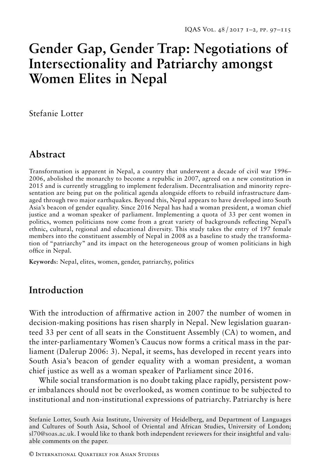# **Gender Gap, Gender Trap: Negotiations of Intersectionality and Patriarchy amongst Women Elites in Nepal**

Stefanie Lotter

# **Abstract**

Transformation is apparent in Nepal, a country that underwent a decade of civil war 1996– 2006, abolished the monarchy to become a republic in 2007, agreed on a new constitution in 2015 and is currently struggling to implement federalism. Decentralisation and minority representation are being put on the political agenda alongside efforts to rebuild infrastructure damaged through two major earthquakes. Beyond this, Nepal appears to have developed into South Asia's beacon of gender equality. Since 2016 Nepal has had a woman president, a woman chief justice and a woman speaker of parliament. Implementing a quota of 33 per cent women in politics, women politicians now come from a great variety of backgrounds reflecting Nepal's ethnic, cultural, regional and educational diversity. This study takes the entry of 197 female members into the constituent assembly of Nepal in 2008 as a baseline to study the transformation of "patriarchy" and its impact on the heterogeneous group of women politicians in high office in Nepal.

**Keyword**s: Nepal, elites, women, gender, patriarchy, politics

## **Introduction**

With the introduction of affirmative action in 2007 the number of women in decision-making positions has risen sharply in Nepal. New legislation guaranteed 33 per cent of all seats in the Constituent Assembly (CA) to women, and the inter-parliamentary Women's Caucus now forms a critical mass in the parliament (Dalerup 2006: 3). Nepal, it seems, has developed in recent years into South Asia's beacon of gender equality with a woman president, a woman chief justice as well as a woman speaker of Parliament since 2016.

While social transformation is no doubt taking place rapidly, persistent power imbalances should not be overlooked, as women continue to be subjected to institutional and non-institutional expressions of patriarchy. Patriarchy is here

Stefanie Lotter, South Asia Institute, University of Heidelberg, and Department of Languages and Cultures of South Asia, School of Oriental and African Studies, University of London; sl70@soas.ac.uk. I would like to thank both independent reviewers for their insightful and valuable comments on the paper.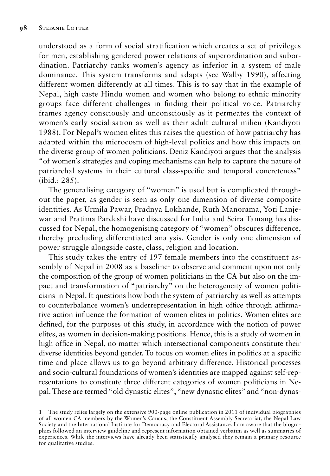understood as a form of social stratification which creates a set of privileges for men, establishing gendered power relations of superordination and subordination. Patriarchy ranks women's agency as inferior in a system of male dominance. This system transforms and adapts (see Walby 1990), affecting different women differently at all times. This is to say that in the example of Nepal, high caste Hindu women and women who belong to ethnic minority groups face different challenges in finding their political voice. Patriarchy frames agency consciously and unconsciously as it permeates the context of women's early socialisation as well as their adult cultural milieu (Kandiyoti 1988). For Nepal's women elites this raises the question of how patriarchy has adapted within the microcosm of high-level politics and how this impacts on the diverse group of women politicians. Deniz Kandiyoti argues that the analysis "of women's strategies and coping mechanisms can help to capture the nature of patriarchal systems in their cultural class-specific and temporal concreteness" (ibid.: 285).

The generalising category of "women" is used but is complicated throughout the paper, as gender is seen as only one dimension of diverse composite identities. As Urmila Pawar, Pradnya Lokhande, Ruth Manorama, Yoti Lanjewar and Pratima Pardeshi have discussed for India and Seira Tamang has discussed for Nepal, the homogenising category of "women" obscures difference, thereby precluding differentiated analysis. Gender is only one dimension of power struggle alongside caste, class, religion and location.

This study takes the entry of 197 female members into the constituent assembly of Nepal in 2008 as a baseline<sup>1</sup> to observe and comment upon not only the composition of the group of women politicians in the CA but also on the impact and transformation of "patriarchy" on the heterogeneity of women politicians in Nepal. It questions how both the system of patriarchy as well as attempts to counterbalance women's underrepresentation in high office through affirmative action influence the formation of women elites in politics. Women elites are defined, for the purposes of this study, in accordance with the notion of power elites, as women in decision-making positions. Hence, this is a study of women in high office in Nepal, no matter which intersectional components constitute their diverse identities beyond gender. To focus on women elites in politics at a specific time and place allows us to go beyond arbitrary difference. Historical processes and socio-cultural foundations of women's identities are mapped against self-representations to constitute three different categories of women politicians in Nepal. These are termed "old dynastic elites", "new dynastic elites" and "non-dynas-

<sup>1</sup> The study relies largely on the extensive 900-page online publication in 2011 of individual biographies of all women CA members by the Women's Caucus, the Constituent Assembly Secretariat, the Nepal Law Society and the International Institute for Democracy and Electoral Assistance. I am aware that the biographies followed an interview guideline and represent information obtained verbatim as well as summaries of experiences. While the interviews have already been statistically analysed they remain a primary resource for qualitative studies.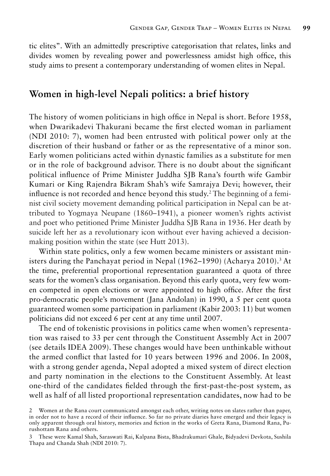tic elites". With an admittedly prescriptive categorisation that relates, links and divides women by revealing power and powerlessness amidst high office, this study aims to present a contemporary understanding of women elites in Nepal.

#### **Women in high-level Nepali politics: a brief history**

The history of women politicians in high office in Nepal is short. Before 1958, when Dwarikadevi Thakurani became the first elected woman in parliament (NDI 2010: 7), women had been entrusted with political power only at the discretion of their husband or father or as the representative of a minor son. Early women politicians acted within dynastic families as a substitute for men or in the role of background advisor. There is no doubt about the significant political influence of Prime Minister Juddha SJB Rana's fourth wife Gambir Kumari or King Rajendra Bikram Shah's wife Samrajya Devi; however, their influence is not recorded and hence beyond this study.2 The beginning of a feminist civil society movement demanding political participation in Nepal can be attributed to Yogmaya Neupane (1860–1941), a pioneer women's rights activist and poet who petitioned Prime Minister Juddha SJB Rana in 1936. Her death by suicide left her as a revolutionary icon without ever having achieved a decisionmaking position within the state (see Hutt 2013).

Within state politics, only a few women became ministers or assistant ministers during the Panchayat period in Nepal (1962–1990) (Acharya 2010).<sup>3</sup> At the time, preferential proportional representation guaranteed a quota of three seats for the women's class organisation. Beyond this early quota, very few women competed in open elections or were appointed to high office. After the first pro-democratic people's movement (Jana Andolan) in 1990, a 5 per cent quota guaranteed women some participation in parliament (Kabir 2003: 11) but women politicians did not exceed 6 per cent at any time until 2007.

The end of tokenistic provisions in politics came when women's representation was raised to 33 per cent through the Constituent Assembly Act in 2007 (see details IDEA 2009). These changes would have been unthinkable without the armed conflict that lasted for 10 years between 1996 and 2006. In 2008, with a strong gender agenda, Nepal adopted a mixed system of direct election and party nomination in the elections to the Constituent Assembly. At least one-third of the candidates fielded through the first-past-the-post system, as well as half of all listed proportional representation candidates, now had to be

<sup>2</sup> Women at the Rana court communicated amongst each other, writing notes on slates rather than paper, in order not to have a record of their influence. So far no private diaries have emerged and their legacy is only apparent through oral history, memories and fiction in the works of Greta Rana, Diamond Rana, Purushottam Rana and others.

<sup>3</sup> These were Kamal Shah, Saraswati Rai, Kalpana Bista, Bhadrakumari Ghale, Bidyadevi Devkota, Sushila Thapa and Chanda Shah (NDI 2010: 7).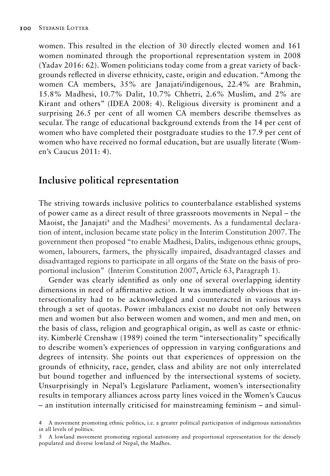women. This resulted in the election of 30 directly elected women and 161 women nominated through the proportional representation system in 2008 (Yadav 2016: 62). Women politicians today come from a great variety of backgrounds reflected in diverse ethnicity, caste, origin and education. "Among the women CA members, 35% are Janajati/indigenous, 22.4% are Brahmin, 15.8% Madhesi, 10.7% Dalit, 10.7% Chhetri, 2.6% Muslim, and 2% are Kirant and others" (IDEA 2008: 4). Religious diversity is prominent and a surprising 26.5 per cent of all women CA members describe themselves as secular. The range of educational background extends from the 14 per cent of women who have completed their postgraduate studies to the 17.9 per cent of women who have received no formal education, but are usually literate (Women's Caucus 2011: 4).

# **Inclusive political representation**

The striving towards inclusive politics to counterbalance established systems of power came as a direct result of three grassroots movements in Nepal – the Maoist, the Janajati<sup>4</sup> and the Madhesi<sup>5</sup> movements. As a fundamental declaration of intent, inclusion became state policy in the Interim Constitution 2007. The government then proposed "to enable Madhesi, Dalits, indigenous ethnic groups, women, labourers, farmers, the physically impaired, disadvantaged classes and disadvantaged regions to participate in all organs of the State on the basis of proportional inclusion" (Interim Constitution 2007, Article 63, Paragraph 1).

Gender was clearly identified as only one of several overlapping identity dimensions in need of affirmative action. It was immediately obvious that intersectionality had to be acknowledged and counteracted in various ways through a set of quotas. Power imbalances exist no doubt not only between men and women but also between women and women, and men and men, on the basis of class, religion and geographical origin, as well as caste or ethnicity. Kimberlé Crenshaw (1989) coined the term "intersectionality" specifically to describe women's experiences of oppression in varying configurations and degrees of intensity. She points out that experiences of oppression on the grounds of ethnicity, race, gender, class and ability are not only interrelated but bound together and influenced by the intersectional systems of society. Unsurprisingly in Nepal's Legislature Parliament, women's intersectionality results in temporary alliances across party lines voiced in the Women's Caucus – an institution internally criticised for mainstreaming feminism – and simul-

<sup>4</sup> A movement promoting ethnic politics, i.e. a greater political participation of indigenous nationalities in all levels of politics.

<sup>5</sup> A lowland movement promoting regional autonomy and proportional representation for the densely populated and diverse lowland of Nepal, the Madhes.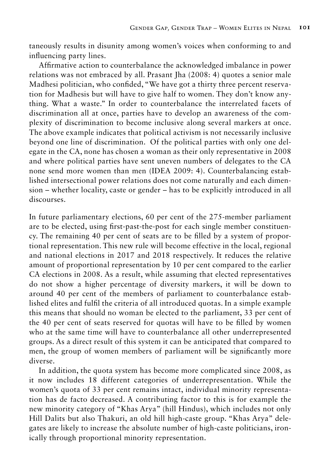taneously results in disunity among women's voices when conforming to and influencing party lines.

Affirmative action to counterbalance the acknowledged imbalance in power relations was not embraced by all. Prasant Jha (2008: 4) quotes a senior male Madhesi politician, who confided, "We have got a thirty three percent reservation for Madhesis but will have to give half to women. They don't know anything. What a waste." In order to counterbalance the interrelated facets of discrimination all at once, parties have to develop an awareness of the complexity of discrimination to become inclusive along several markers at once. The above example indicates that political activism is not necessarily inclusive beyond one line of discrimination. Of the political parties with only one delegate in the CA, none has chosen a woman as their only representative in 2008 and where political parties have sent uneven numbers of delegates to the CA none send more women than men (IDEA 2009: 4). Counterbalancing established intersectional power relations does not come naturally and each dimension – whether locality, caste or gender – has to be explicitly introduced in all discourses.

In future parliamentary elections, 60 per cent of the 275-member parliament are to be elected, using first-past-the-post for each single member constituency. The remaining 40 per cent of seats are to be filled by a system of proportional representation. This new rule will become effective in the local, regional and national elections in 2017 and 2018 respectively. It reduces the relative amount of proportional representation by 10 per cent compared to the earlier CA elections in 2008. As a result, while assuming that elected representatives do not show a higher percentage of diversity markers, it will be down to around 40 per cent of the members of parliament to counterbalance established elites and fulfil the criteria of all introduced quotas. In a simple example this means that should no woman be elected to the parliament, 33 per cent of the 40 per cent of seats reserved for quotas will have to be filled by women who at the same time will have to counterbalance all other underrepresented groups. As a direct result of this system it can be anticipated that compared to men, the group of women members of parliament will be significantly more diverse.

In addition, the quota system has become more complicated since 2008, as it now includes 18 different categories of underrepresentation. While the women's quota of 33 per cent remains intact, individual minority representation has de facto decreased. A contributing factor to this is for example the new minority category of "Khas Arya" (hill Hindus), which includes not only Hill Dalits but also Thakuri, an old hill high-caste group. "Khas Arya" delegates are likely to increase the absolute number of high-caste politicians, ironically through proportional minority representation.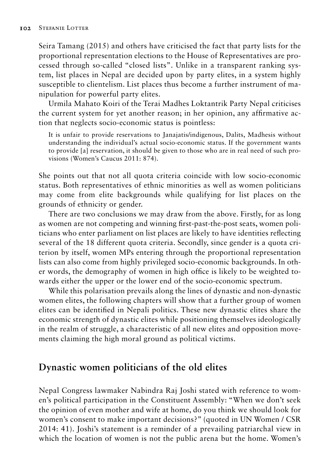Seira Tamang (2015) and others have criticised the fact that party lists for the proportional representation elections to the House of Representatives are processed through so-called "closed lists". Unlike in a transparent ranking system, list places in Nepal are decided upon by party elites, in a system highly susceptible to clientelism. List places thus become a further instrument of manipulation for powerful party elites.

Urmila Mahato Koiri of the Terai Madhes Loktantrik Party Nepal criticises the current system for yet another reason; in her opinion, any affirmative action that neglects socio-economic status is pointless:

It is unfair to provide reservations to Janajatis/indigenous, Dalits, Madhesis without understanding the individual's actual socio-economic status. If the government wants to provide [a] reservation, it should be given to those who are in real need of such provisions (Women's Caucus 2011: 874).

She points out that not all quota criteria coincide with low socio-economic status. Both representatives of ethnic minorities as well as women politicians may come from elite backgrounds while qualifying for list places on the grounds of ethnicity or gender.

There are two conclusions we may draw from the above. Firstly, for as long as women are not competing and winning first-past-the-post seats, women politicians who enter parliament on list places are likely to have identities reflecting several of the 18 different quota criteria. Secondly, since gender is a quota criterion by itself, women MPs entering through the proportional representation lists can also come from highly privileged socio-economic backgrounds. In other words, the demography of women in high office is likely to be weighted towards either the upper or the lower end of the socio-economic spectrum.

While this polarisation prevails along the lines of dynastic and non-dynastic women elites, the following chapters will show that a further group of women elites can be identified in Nepali politics. These new dynastic elites share the economic strength of dynastic elites while positioning themselves ideologically in the realm of struggle, a characteristic of all new elites and opposition movements claiming the high moral ground as political victims.

# **Dynastic women politicians of the old elites**

Nepal Congress lawmaker Nabindra Raj Joshi stated with reference to women's political participation in the Constituent Assembly: "When we don't seek the opinion of even mother and wife at home, do you think we should look for women's consent to make important decisions?" (quoted in UN Women / CSR 2014: 41). Joshi's statement is a reminder of a prevailing patriarchal view in which the location of women is not the public arena but the home. Women's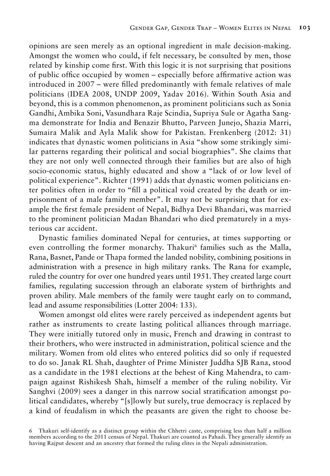opinions are seen merely as an optional ingredient in male decision-making. Amongst the women who could, if felt necessary, be consulted by men, those related by kinship come first. With this logic it is not surprising that positions of public office occupied by women – especially before affirmative action was introduced in 2007 – were filled predominantly with female relatives of male politicians (IDEA 2008, UNDP 2009, Yadav 2016). Within South Asia and beyond, this is a common phenomenon, as prominent politicians such as Sonia Gandhi, Ambika Soni, Vasundhara Raje Scindia, Supriya Sule or Agatha Sangma demonstrate for India and Benazir Bhutto, Parveen Junejo, Shazia Marri, Sumaira Malik and Ayla Malik show for Pakistan. Frenkenberg (2012: 31) indicates that dynastic women politicians in Asia "show some strikingly similar patterns regarding their political and social biographies". She claims that they are not only well connected through their families but are also of high socio-economic status, highly educated and show a "lack of or low level of political experience". Richter (1991) adds that dynastic women politicians enter politics often in order to "fill a political void created by the death or imprisonment of a male family member". It may not be surprising that for example the first female president of Nepal, Bidhya Devi Bhandari, was married to the prominent politician Madan Bhandari who died prematurely in a mysterious car accident.

Dynastic families dominated Nepal for centuries, at times supporting or even controlling the former monarchy. Thakuri<sup>6</sup> families such as the Malla, Rana, Basnet, Pande or Thapa formed the landed nobility, combining positions in administration with a presence in high military ranks. The Rana for example, ruled the country for over one hundred years until 1951. They created large court families, regulating succession through an elaborate system of birthrights and proven ability. Male members of the family were taught early on to command, lead and assume responsibilities (Lotter 2004: 133).

Women amongst old elites were rarely perceived as independent agents but rather as instruments to create lasting political alliances through marriage. They were initially tutored only in music, French and drawing in contrast to their brothers, who were instructed in administration, political science and the military. Women from old elites who entered politics did so only if requested to do so. Janak RL Shah, daughter of Prime Minister Juddha SJB Rana, stood as a candidate in the 1981 elections at the behest of King Mahendra, to campaign against Rishikesh Shah, himself a member of the ruling nobility. Vir Sanghvi (2009) sees a danger in this narrow social stratification amongst political candidates, whereby "[s]lowly but surely, true democracy is replaced by a kind of feudalism in which the peasants are given the right to choose be-

Thakuri self-identify as a distinct group within the Chhetri caste, comprising less than half a million members according to the 2011 census of Nepal. Thakuri are counted as Pahadi. They generally identify as having Rajput descent and an ancestry that formed the ruling elites in the Nepali administration.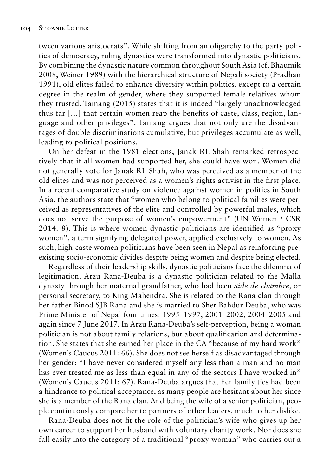tween various aristocrats". While shifting from an oligarchy to the party politics of democracy, ruling dynasties were transformed into dynastic politicians. By combining the dynastic nature common throughout South Asia (cf. Bhaumik 2008, Weiner 1989) with the hierarchical structure of Nepali society (Pradhan 1991), old elites failed to enhance diversity within politics, except to a certain degree in the realm of gender, where they supported female relatives whom they trusted. Tamang (2015) states that it is indeed "largely unacknowledged thus far […] that certain women reap the benefits of caste, class, region, language and other privileges". Tamang argues that not only are the disadvantages of double discriminations cumulative, but privileges accumulate as well, leading to political positions.

On her defeat in the 1981 elections, Janak RL Shah remarked retrospectively that if all women had supported her, she could have won. Women did not generally vote for Janak RL Shah, who was perceived as a member of the old elites and was not perceived as a women's rights activist in the first place. In a recent comparative study on violence against women in politics in South Asia, the authors state that "women who belong to political families were perceived as representatives of the elite and controlled by powerful males, which does not serve the purpose of women's empowerment" (UN Women / CSR 2014: 8). This is where women dynastic politicians are identified as "proxy women", a term signifying delegated power, applied exclusively to women. As such, high-caste women politicians have been seen in Nepal as reinforcing preexisting socio-economic divides despite being women and despite being elected.

Regardless of their leadership skills, dynastic politicians face the dilemma of legitimation. Arzu Rana-Deuba is a dynastic politician related to the Malla dynasty through her maternal grandfather, who had been *aide de chambre*, or personal secretary, to King Mahendra. She is related to the Rana clan through her father Binod SJB Rana and she is married to Sher Bahdur Deuba, who was Prime Minister of Nepal four times: 1995–1997, 2001–2002, 2004–2005 and again since 7 June 2017. In Arzu Rana-Deuba's self-perception, being a woman politician is not about family relations, but about qualification and determination. She states that she earned her place in the CA "because of my hard work" (Women's Caucus 2011: 66). She does not see herself as disadvantaged through her gender: "I have never considered myself any less than a man and no man has ever treated me as less than equal in any of the sectors I have worked in" (Women's Caucus 2011: 67). Rana-Deuba argues that her family ties had been a hindrance to political acceptance, as many people are hesitant about her since she is a member of the Rana clan. And being the wife of a senior politician, people continuously compare her to partners of other leaders, much to her dislike.

Rana-Deuba does not fit the role of the politician's wife who gives up her own career to support her husband with voluntary charity work. Nor does she fall easily into the category of a traditional "proxy woman" who carries out a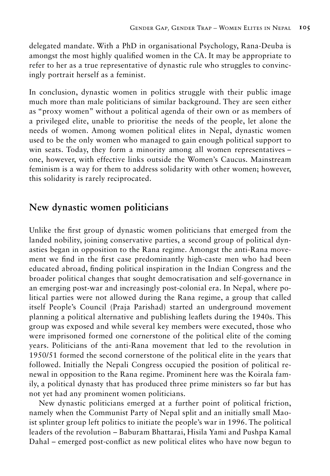delegated mandate. With a PhD in organisational Psychology, Rana-Deuba is amongst the most highly qualified women in the CA. It may be appropriate to refer to her as a true representative of dynastic rule who struggles to convincingly portrait herself as a feminist.

In conclusion, dynastic women in politics struggle with their public image much more than male politicians of similar background. They are seen either as "proxy women" without a political agenda of their own or as members of a privileged elite, unable to prioritise the needs of the people, let alone the needs of women. Among women political elites in Nepal, dynastic women used to be the only women who managed to gain enough political support to win seats. Today, they form a minority among all women representatives – one, however, with effective links outside the Women's Caucus. Mainstream feminism is a way for them to address solidarity with other women; however, this solidarity is rarely reciprocated.

#### **New dynastic women politicians**

Unlike the first group of dynastic women politicians that emerged from the landed nobility, joining conservative parties, a second group of political dynasties began in opposition to the Rana regime. Amongst the anti-Rana movement we find in the first case predominantly high-caste men who had been educated abroad, finding political inspiration in the Indian Congress and the broader political changes that sought democratisation and self-governance in an emerging post-war and increasingly post-colonial era. In Nepal, where political parties were not allowed during the Rana regime, a group that called itself People's Council (Praja Parishad) started an underground movement planning a political alternative and publishing leaflets during the 1940s. This group was exposed and while several key members were executed, those who were imprisoned formed one cornerstone of the political elite of the coming years. Politicians of the anti-Rana movement that led to the revolution in 1950/51 formed the second cornerstone of the political elite in the years that followed. Initially the Nepali Congress occupied the position of political renewal in opposition to the Rana regime. Prominent here was the Koirala family, a political dynasty that has produced three prime ministers so far but has not yet had any prominent women politicians.

New dynastic politicians emerged at a further point of political friction, namely when the Communist Party of Nepal split and an initially small Maoist splinter group left politics to initiate the people's war in 1996. The political leaders of the revolution – Baburam Bhattarai, Hisila Yami and Pushpa Kamal Dahal – emerged post-conflict as new political elites who have now begun to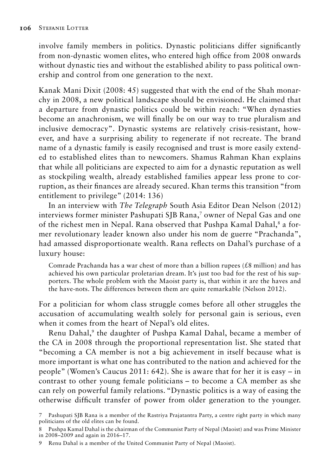involve family members in politics. Dynastic politicians differ significantly from non-dynastic women elites, who entered high office from 2008 onwards without dynastic ties and without the established ability to pass political ownership and control from one generation to the next.

Kanak Mani Dixit (2008: 45) suggested that with the end of the Shah monarchy in 2008, a new political landscape should be envisioned. He claimed that a departure from dynastic politics could be within reach: "When dynasties become an anachronism, we will finally be on our way to true pluralism and inclusive democracy". Dynastic systems are relatively crisis-resistant, however, and have a surprising ability to regenerate if not recreate. The brand name of a dynastic family is easily recognised and trust is more easily extended to established elites than to newcomers. Shamus Rahman Khan explains that while all politicians are expected to aim for a dynastic reputation as well as stockpiling wealth, already established families appear less prone to corruption, as their finances are already secured. Khan terms this transition "from entitlement to privilege" (2014: 136)

In an interview with *The Telegraph* South Asia Editor Dean Nelson (2012) interviews former minister Pashupati SJB Rana,7 owner of Nepal Gas and one of the richest men in Nepal. Rana observed that Pushpa Kamal Dahal,<sup>8</sup> a former revolutionary leader known also under his nom de guerre "Prachanda", had amassed disproportionate wealth. Rana reflects on Dahal's purchase of a luxury house:

Comrade Prachanda has a war chest of more than a billion rupees  $(£8$  million) and has achieved his own particular proletarian dream. It's just too bad for the rest of his supporters. The whole problem with the Maoist party is, that within it are the haves and the have-nots. The differences between them are quite remarkable (Nelson 2012).

For a politician for whom class struggle comes before all other struggles the accusation of accumulating wealth solely for personal gain is serious, even when it comes from the heart of Nepal's old elites.

Renu Dahal,<sup>9</sup> the daughter of Pushpa Kamal Dahal, became a member of the CA in 2008 through the proportional representation list. She stated that "becoming a CA member is not a big achievement in itself because what is more important is what one has contributed to the nation and achieved for the people" (Women's Caucus 2011: 642). She is aware that for her it is easy – in contrast to other young female politicians – to become a CA member as she can rely on powerful family relations. "Dynastic politics is a way of easing the otherwise difficult transfer of power from older generation to the younger.

<sup>7</sup> Pashupati SJB Rana is a member of the Rastriya Prajatantra Party, a centre right party in which many politicians of the old elites can be found.

<sup>8</sup> Pushpa Kamal Dahal is the chairman of the Communist Party of Nepal (Maoist) and was Prime Minister in 2008–2009 and again in 2016–17.

<sup>9</sup> Renu Dahal is a member of the United Communist Party of Nepal (Maoist).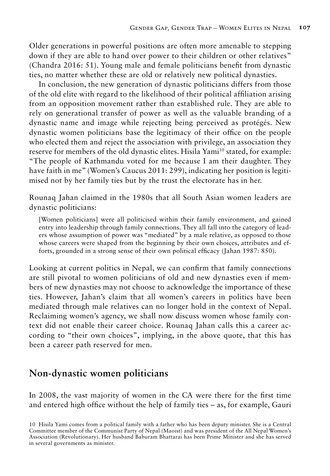Older generations in powerful positions are often more amenable to stepping down if they are able to hand over power to their children or other relatives" (Chandra 2016: 51). Young male and female politicians benefit from dynastic ties, no matter whether these are old or relatively new political dynasties.

In conclusion, the new generation of dynastic politicians differs from those of the old elite with regard to the likelihood of their political affiliation arising from an opposition movement rather than established rule. They are able to rely on generational transfer of power as well as the valuable branding of a dynastic name and image while rejecting being perceived as protégés. New dynastic women politicians base the legitimacy of their office on the people who elected them and reject the association with privilege, an association they reserve for members of the old dynastic elites. Hisila Yami<sup>10</sup> stated, for example: "The people of Kathmandu voted for me because I am their daughter. They have faith in me" (Women's Caucus 2011: 299), indicating her position is legitimised not by her family ties but by the trust the electorate has in her.

Rounaq Jahan claimed in the 1980s that all South Asian women leaders are dynastic politicians:

[Women politicians] were all politicised within their family environment, and gained entry into leadership through family connections. They all fall into the category of leaders whose assumption of power was "mediated" by a male relative, as opposed to those whose careers were shaped from the beginning by their own choices, attributes and efforts, grounded in a strong sense of their own political efficacy (Jahan 1987: 850).

Looking at current politics in Nepal, we can confirm that family connections are still pivotal to women politicians of old and new dynasties even if members of new dynasties may not choose to acknowledge the importance of these ties. However, Jahan's claim that all women's careers in politics have been mediated through male relatives can no longer hold in the context of Nepal. Reclaiming women's agency, we shall now discuss women whose family context did not enable their career choice. Rounaq Jahan calls this a career according to "their own choices", implying, in the above quote, that this has been a career path reserved for men.

## **Non-dynastic women politicians**

In 2008, the vast majority of women in the CA were there for the first time and entered high office without the help of family ties – as, for example, Gauri

<sup>10</sup> Hisila Yami comes from a political family with a father who has been deputy minister. She is a Central Committee member of the Communist Party of Nepal (Maoist) and was president of the All Nepal Women's Association (Revolutionary). Her husband Baburam Bhattarai has been Prime Minister and she has served in several governments as minister.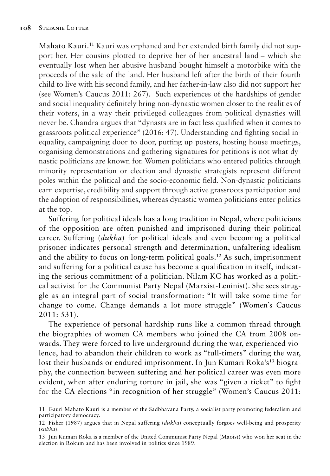Mahato Kauri.<sup>11</sup> Kauri was orphaned and her extended birth family did not support her. Her cousins plotted to deprive her of her ancestral land – which she eventually lost when her abusive husband bought himself a motorbike with the proceeds of the sale of the land. Her husband left after the birth of their fourth child to live with his second family, and her father-in-law also did not support her (see Women's Caucus 2011: 267). Such experiences of the hardships of gender and social inequality definitely bring non-dynastic women closer to the realities of their voters, in a way their privileged colleagues from political dynasties will never be. Chandra argues that "dynasts are in fact less qualified when it comes to grassroots political experience" (2016: 47). Understanding and fighting social inequality, campaigning door to door, putting up posters, hosting house meetings, organising demonstrations and gathering signatures for petitions is not what dynastic politicians are known for. Women politicians who entered politics through minority representation or election and dynastic strategists represent different poles within the political and the socio-economic field. Non-dynastic politicians earn expertise, credibility and support through active grassroots participation and the adoption of responsibilities, whereas dynastic women politicians enter politics at the top.

Suffering for political ideals has a long tradition in Nepal, where politicians of the opposition are often punished and imprisoned during their political career. Suffering (*dukha*) for political ideals and even becoming a political prisoner indicates personal strength and determination, unfaltering idealism and the ability to focus on long-term political goals.12 As such, imprisonment and suffering for a political cause has become a qualification in itself, indicating the serious commitment of a politician. Nilam KC has worked as a political activist for the Communist Party Nepal (Marxist-Leninist). She sees struggle as an integral part of social transformation: "It will take some time for change to come. Change demands a lot more struggle" (Women's Caucus 2011: 531).

The experience of personal hardship runs like a common thread through the biographies of women CA members who joined the CA from 2008 onwards. They were forced to live underground during the war, experienced violence, had to abandon their children to work as "full-timers" during the war, lost their husbands or endured imprisonment. In Jun Kumari Roka's<sup>13</sup> biography, the connection between suffering and her political career was even more evident, when after enduring torture in jail, she was "given a ticket" to fight for the CA elections "in recognition of her struggle" (Women's Caucus 2011:

<sup>11</sup> Gauri Mahato Kauri is a member of the Sadbhavana Party, a socialist party promoting federalism and participatory democracy.

<sup>12</sup> Fisher (1987) argues that in Nepal suffering (*dukha*) conceptually forgoes well-being and prosperity (*sukha*).

<sup>13</sup> Jun Kumari Roka is a member of the United Communist Party Nepal (Maoist) who won her seat in the election in Rokum and has been involved in politics since 1989.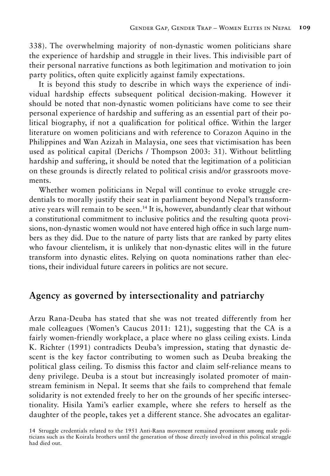338). The overwhelming majority of non-dynastic women politicians share the experience of hardship and struggle in their lives. This indivisible part of their personal narrative functions as both legitimation and motivation to join party politics, often quite explicitly against family expectations.

It is beyond this study to describe in which ways the experience of individual hardship effects subsequent political decision-making. However it should be noted that non-dynastic women politicians have come to see their personal experience of hardship and suffering as an essential part of their political biography, if not a qualification for political office. Within the larger literature on women politicians and with reference to Corazon Aquino in the Philippines and Wan Azizah in Malaysia, one sees that victimisation has been used as political capital (Derichs / Thompson 2003: 31). Without belittling hardship and suffering, it should be noted that the legitimation of a politician on these grounds is directly related to political crisis and/or grassroots movements.

Whether women politicians in Nepal will continue to evoke struggle credentials to morally justify their seat in parliament beyond Nepal's transformative years will remain to be seen.14 It is, however, abundantly clear that without a constitutional commitment to inclusive politics and the resulting quota provisions, non-dynastic women would not have entered high office in such large numbers as they did. Due to the nature of party lists that are ranked by party elites who favour clientelism, it is unlikely that non-dynastic elites will in the future transform into dynastic elites. Relying on quota nominations rather than elections, their individual future careers in politics are not secure.

#### **Agency as governed by intersectionality and patriarchy**

Arzu Rana-Deuba has stated that she was not treated differently from her male colleagues (Women's Caucus 2011: 121), suggesting that the CA is a fairly women-friendly workplace, a place where no glass ceiling exists. Linda K. Richter (1991) contradicts Deuba's impression, stating that dynastic descent is the key factor contributing to women such as Deuba breaking the political glass ceiling. To dismiss this factor and claim self-reliance means to deny privilege. Deuba is a stout but increasingly isolated promoter of mainstream feminism in Nepal. It seems that she fails to comprehend that female solidarity is not extended freely to her on the grounds of her specific intersectionality. Hisila Yami's earlier example, where she refers to herself as the daughter of the people, takes yet a different stance. She advocates an egalitar-

14 Struggle credentials related to the 1951 Anti-Rana movement remained prominent among male politicians such as the Koirala brothers until the generation of those directly involved in this political struggle had died out.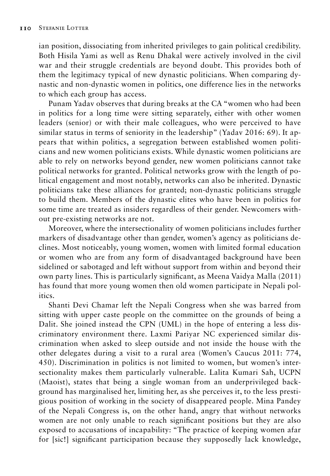ian position, dissociating from inherited privileges to gain political credibility. Both Hisila Yami as well as Renu Dhakal were actively involved in the civil war and their struggle credentials are beyond doubt. This provides both of them the legitimacy typical of new dynastic politicians. When comparing dynastic and non-dynastic women in politics, one difference lies in the networks to which each group has access.

Punam Yadav observes that during breaks at the CA "women who had been in politics for a long time were sitting separately, either with other women leaders (senior) or with their male colleagues, who were perceived to have similar status in terms of seniority in the leadership" (Yadav 2016: 69). It appears that within politics, a segregation between established women politicians and new women politicians exists. While dynastic women politicians are able to rely on networks beyond gender, new women politicians cannot take political networks for granted. Political networks grow with the length of political engagement and most notably, networks can also be inherited. Dynastic politicians take these alliances for granted; non-dynastic politicians struggle to build them. Members of the dynastic elites who have been in politics for some time are treated as insiders regardless of their gender. Newcomers without pre-existing networks are not.

Moreover, where the intersectionality of women politicians includes further markers of disadvantage other than gender, women's agency as politicians declines. Most noticeably, young women, women with limited formal education or women who are from any form of disadvantaged background have been sidelined or sabotaged and left without support from within and beyond their own party lines. This is particularly significant, as Meena Vaidya Malla (2011) has found that more young women then old women participate in Nepali politics.

Shanti Devi Chamar left the Nepali Congress when she was barred from sitting with upper caste people on the committee on the grounds of being a Dalit. She joined instead the CPN (UML) in the hope of entering a less discriminatory environment there. Laxmi Pariyar NC experienced similar discrimination when asked to sleep outside and not inside the house with the other delegates during a visit to a rural area (Women's Caucus 2011: 774, 450). Discrimination in politics is not limited to women, but women's intersectionality makes them particularly vulnerable. Lalita Kumari Sah, UCPN (Maoist), states that being a single woman from an underprivileged background has marginalised her, limiting her, as she perceives it, to the less prestigious position of working in the society of disappeared people. Mina Pandey of the Nepali Congress is, on the other hand, angry that without networks women are not only unable to reach significant positions but they are also exposed to accusations of incapability: "The practice of keeping women afar for [sic!] significant participation because they supposedly lack knowledge,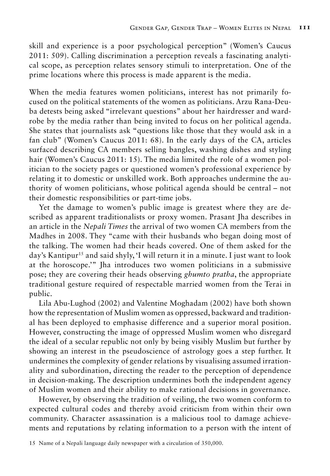skill and experience is a poor psychological perception" (Women's Caucus 2011: 509). Calling discrimination a perception reveals a fascinating analytical scope, as perception relates sensory stimuli to interpretation. One of the prime locations where this process is made apparent is the media.

When the media features women politicians, interest has not primarily focused on the political statements of the women as politicians. Arzu Rana-Deuba detests being asked "irrelevant questions" about her hairdresser and wardrobe by the media rather than being invited to focus on her political agenda. She states that journalists ask "questions like those that they would ask in a fan club" (Women's Caucus 2011: 68). In the early days of the CA, articles surfaced describing CA members selling bangles, washing dishes and styling hair (Women's Caucus 2011: 15). The media limited the role of a women politician to the society pages or questioned women's professional experience by relating it to domestic or unskilled work. Both approaches undermine the authority of women politicians, whose political agenda should be central – not their domestic responsibilities or part-time jobs.

Yet the damage to women's public image is greatest where they are described as apparent traditionalists or proxy women. Prasant Jha describes in an article in the *Nepali Times* the arrival of two women CA members from the Madhes in 2008. They "came with their husbands who began doing most of the talking. The women had their heads covered. One of them asked for the day's Kantipur<sup>15</sup> and said shyly, 'I will return it in a minute. I just want to look at the horoscope.'" Jha introduces two women politicians in a submissive pose; they are covering their heads observing *ghumto pratha*, the appropriate traditional gesture required of respectable married women from the Terai in public.

Lila Abu-Lughod (2002) and Valentine Moghadam (2002) have both shown how the representation of Muslim women as oppressed, backward and traditional has been deployed to emphasise difference and a superior moral position. However, constructing the image of oppressed Muslim women who disregard the ideal of a secular republic not only by being visibly Muslim but further by showing an interest in the pseudoscience of astrology goes a step further. It undermines the complexity of gender relations by visualising assumed irrationality and subordination, directing the reader to the perception of dependence in decision-making. The description undermines both the independent agency of Muslim women and their ability to make rational decisions in governance.

However, by observing the tradition of veiling, the two women conform to expected cultural codes and thereby avoid criticism from within their own community. Character assassination is a malicious tool to damage achievements and reputations by relating information to a person with the intent of

<sup>15</sup> Name of a Nepali language daily newspaper with a circulation of 350,000.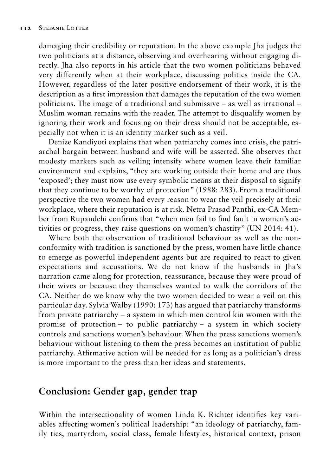damaging their credibility or reputation. In the above example Jha judges the two politicians at a distance, observing and overhearing without engaging directly. Jha also reports in his article that the two women politicians behaved very differently when at their workplace, discussing politics inside the CA. However, regardless of the later positive endorsement of their work, it is the description as a first impression that damages the reputation of the two women politicians. The image of a traditional and submissive – as well as irrational – Muslim woman remains with the reader. The attempt to disqualify women by ignoring their work and focusing on their dress should not be acceptable, especially not when it is an identity marker such as a veil.

Denize Kandiyoti explains that when patriarchy comes into crisis, the patriarchal bargain between husband and wife will be asserted. She observes that modesty markers such as veiling intensify where women leave their familiar environment and explains, "they are working outside their home and are thus 'exposed'; they must now use every symbolic means at their disposal to signify that they continue to be worthy of protection" (1988: 283). From a traditional perspective the two women had every reason to wear the veil precisely at their workplace, where their reputation is at risk. Netra Prasad Panthi, ex-CA Member from Rupandehi confirms that "when men fail to find fault in women's activities or progress, they raise questions on women's chastity" (UN 2014: 41).

Where both the observation of traditional behaviour as well as the nonconformity with tradition is sanctioned by the press, women have little chance to emerge as powerful independent agents but are required to react to given expectations and accusations. We do not know if the husbands in Jha's narration came along for protection, reassurance, because they were proud of their wives or because they themselves wanted to walk the corridors of the CA. Neither do we know why the two women decided to wear a veil on this particular day. Sylvia Walby (1990: 173) has argued that patriarchy transforms from private patriarchy – a system in which men control kin women with the promise of protection – to public patriarchy – a system in which society controls and sanctions women's behaviour. When the press sanctions women's behaviour without listening to them the press becomes an institution of public patriarchy. Affirmative action will be needed for as long as a politician's dress is more important to the press than her ideas and statements.

#### **Conclusion: Gender gap, gender trap**

Within the intersectionality of women Linda K. Richter identifies key variables affecting women's political leadership: "an ideology of patriarchy, family ties, martyrdom, social class, female lifestyles, historical context, prison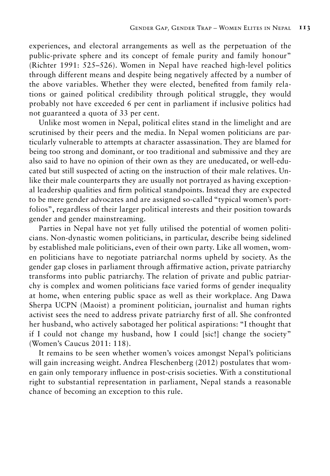experiences, and electoral arrangements as well as the perpetuation of the public-private sphere and its concept of female purity and family honour" (Richter 1991: 525–526). Women in Nepal have reached high-level politics through different means and despite being negatively affected by a number of the above variables. Whether they were elected, benefited from family relations or gained political credibility through political struggle, they would probably not have exceeded 6 per cent in parliament if inclusive politics had not guaranteed a quota of 33 per cent.

Unlike most women in Nepal, political elites stand in the limelight and are scrutinised by their peers and the media. In Nepal women politicians are particularly vulnerable to attempts at character assassination. They are blamed for being too strong and dominant, or too traditional and submissive and they are also said to have no opinion of their own as they are uneducated, or well-educated but still suspected of acting on the instruction of their male relatives. Unlike their male counterparts they are usually not portrayed as having exceptional leadership qualities and firm political standpoints. Instead they are expected to be mere gender advocates and are assigned so-called "typical women's portfolios", regardless of their larger political interests and their position towards gender and gender mainstreaming.

Parties in Nepal have not yet fully utilised the potential of women politicians. Non-dynastic women politicians, in particular, describe being sidelined by established male politicians, even of their own party. Like all women, women politicians have to negotiate patriarchal norms upheld by society. As the gender gap closes in parliament through affirmative action, private patriarchy transforms into public patriarchy. The relation of private and public patriarchy is complex and women politicians face varied forms of gender inequality at home, when entering public space as well as their workplace. Ang Dawa Sherpa UCPN (Maoist) a prominent politician, journalist and human rights activist sees the need to address private patriarchy first of all. She confronted her husband, who actively sabotaged her political aspirations: "I thought that if I could not change my husband, how I could [sic!] change the society" (Women's Caucus 2011: 118).

It remains to be seen whether women's voices amongst Nepal's politicians will gain increasing weight. Andrea Fleschenberg (2012) postulates that women gain only temporary influence in post-crisis societies. With a constitutional right to substantial representation in parliament, Nepal stands a reasonable chance of becoming an exception to this rule.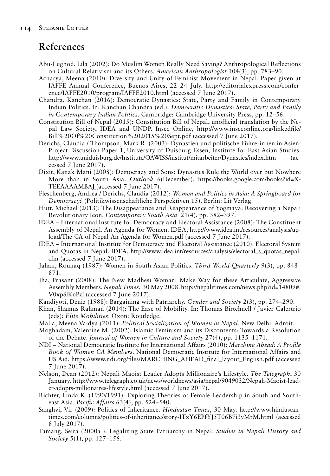# **References**

- Abu-Lughod, Lila (2002): Do Muslim Women Really Need Saving? Anthropological Reflections on Cultural Relativism and its Others. *American Anthropologist* 104(3), pp. 783–90.
- Acharya, Meena (2010): Diversity and Unity of Feminist Movement in Nepal. Paper given at IAFFE Annual Conference, Buenos Aires, 22–24 July. http://editorialexpress.com/conference/IAFFE2010/program/IAFFE2010.html (accessed 7 June 2017).
- Chandra, Kanchan (2016): Democratic Dynasties: State, Party and Family in Contemporary Indian Politics. In: Kanchan Chandra (ed.): *Democratic Dynasties: State, Party and Family in Contemporary Indian Politics*. Cambridge: Cambridge University Press, pp. 12–56.
- Constitution Bill of Nepal (2015): Constitution Bill of Nepal, unofficial translation by the Nepal Law Society, IDEA and UNDP. Insec Online, http://www.inseconline.org/linkedfile/ Bill%20Of%20Constitution%202015%20Sept.pdf (accessed 7 June 2017).
- Derichs, Claudia / Thompson, Mark R. (2003): Dynastien und politische Führerinnen in Asien. Project Discussion Paper 1, University of Duisburg Essen, Institute for East Asian Studies. http://www.uniduisburg.de/Institute/OAWISS/institut/mitarbeiter/Dynasties/index.htm (accessed 7 June 2017).
- Dixit, Kanak Mani (2008): Democrazy and Sons: Dynasties Rule the World over but Nowhere More than in South Asia. *Outlook* 6(December). https://books.google.com/books?id=X-TEEAAAAMBAJ (accessed 7 June 2017).
- Fleschenberg, Andrea / Derichs, Claudia (2012): *Women and Politics in Asia: A Springboard for Democracy?* (Politikwissenschaftliche Perspektiven 15). Berlin: Lit Verlag.
- Hutt, Michael (2013): The Disappearance and Reappearance of Yogmaya: Recovering a Nepali Revolutionary Icon. *Contemporary South Asia* 21(4), pp. 382–397.
- IDEA International Institute for Democracy and Electoral Assistance (2008): The Constituent Assembly of Nepal. An Agenda for Women. IDEA, http://www.idea.int/resources/analysis/upload/The-CA-of-Nepal-An-Agenda-for-Women.pdf (accessed 7 June 2017).
- IDEA International Institute for Democracy and Electoral Assistance (2010): Electoral System and Quotas in Nepal. IDEA, http://www.idea.int/resources/analysis/electoral\_s\_quotas\_nepal. cfm (accessed 7 June 2017).
- Jahan, Rounaq (1987): Women in South Asian Politics. *Third World Quarterly* 9(3), pp. 848– 871.
- Jha, Prasant (2008): The New Madhesi Woman: Make Way for these Articulate, Aggressive Assembly Members. *Nepali Times*, 30 May 2008. http://nepalitimes.com/news.php?id=14809#. V0xpSlKnPzI\_(accessed 7 June 2017).
- Kandiyoti, Deniz (1988): Bargaining with Patriarchy. *Gender and Society* 2(3), pp. 274–290.
- Khan, Shamus Rahman (2014): The Ease of Mobility. In: Thomas Birtchnell / Javier Calertrio (eds): *Elite Mobilities*. Oxon: Routledge.
- Malla, Meena Vaidya (2011): *Political Socialization of Women in Nepal.* New Delhi: Adroit.
- Moghadam, Valentine M. (2002): Islamic Feminism and its Discontents: Towards a Resolution of the Debate. *Journal of Women in Culture and Society* 27(4), pp. 1135–1171.
- NDI National Democratic Institute for International Affairs (2010): *Marching Ahead: A Profile Book of Women CA Members*. National Democratic Institute for International Affairs and US Aid, https://www.ndi.org/files/MARCHING\_AHEAD\_final\_layout\_English.pdf (accessed 7 June 2017).
- Nelson, Dean (2012): Nepali Maoist Leader Adopts Millionaire's Lifestyle. *The Telegraph*, 30 January. http://www.telegraph.co.uk/news/worldnews/asia/nepal/9049032/Nepali-Maoist-leader-adopts-millionaires-lifestyle.html (accessed 7 June 2017).
- Richter, Linda K. (1990/1991): Exploring Theories of Female Leadership in South and Southeast Asia. *Pacific Affairs* 63(4), pp. 524–540.
- Sanghvi, Vir (2009): Politics of Inheritance. *Hindustan Times*, 30 May. http://www.hindustantimes.com/columns/politics-of-inheritance/story-ITxY6EPfYJ5T06B7i3yMrM.html (accessed 8 July 2017).
- Tamang, Seira (2000a ): Legalizing State Patriarchy in Nepal. *Studies in Nepali History and Society* 5(1), pp. 127–156.